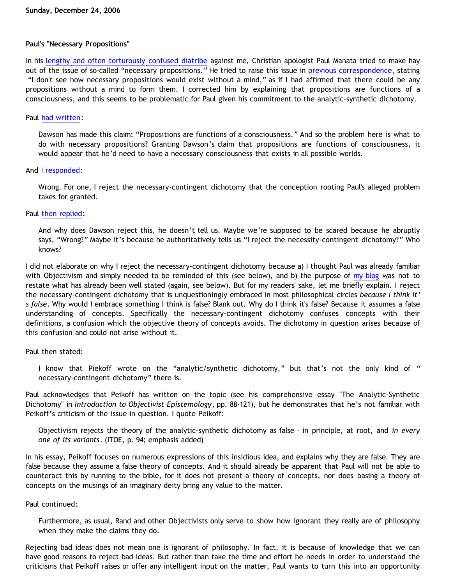## **Paul's "Necessary Propositions"**

In his [lengthy and often torturously confused diatribe](http://triablogue.blogspot.com/2006/11/bethrick-burner.html) against me, Christian apologist Paul Manata tried to make hay out of the issue of so-called "necessary propositions." He tried to raise this issue in [previous correspondence,](http://goosetheantithesis.blogspot.com/2006/10/retro-question-of-day-plantingan-slip.html) stating "I don't see how necessary propositions would exist without a mind," as if I had affirmed that there could be any propositions without a mind to form them. I corrected him by explaining that propositions are functions of a consciousness, and this seems to be problematic for Paul given his commitment to the analytic-synthetic dichotomy.

## Paul [had written:](http://triablogue.blogspot.com/2006/10/lucky-charms-atheology.html)

Dawson has made this claim: "Propositions are functions of a consciousness." And so the problem here is what to do with necessary propositions? Granting Dawson's claim that propositions are functions of consciousness, it would appear that he'd need to have a necessary consciousness that exists in all possible worlds.

## And [I responded](http://bahnsenburner.blogspot.com/2006/10/those-delicate-christian-sensibilities.html):

Wrong. For one, I reject the necessary-contingent dichotomy that the conception rooting Paul's alleged problem takes for granted.

## Paul [then replied:](http://triablogue.blogspot.com/2006/11/bethrick-burner.html)

And why does Dawson reject this, he doesn't tell us. Maybe we're supposed to be scared because he abruptly says, "Wrong?" Maybe it's because he authoritatively tells us "I reject the necessity-contingent dichotomy?" Who knows?

I did not elaborate on why I reject the necessary-contingent dichotomy because a) I thought Paul was already familiar with Objectivism and simply needed to be reminded of this (see below), and b) the purpose of [my blog](http://bahnsenburner.blogspot.com/2006/10/those-delicate-christian-sensibilities.html) was not to restate what has already been well stated (again, see below). But for my readers' sake, let me briefly explain. I reject the necessary-contingent dichotomy that is unquestioningly embraced in most philosophical circles *because I think it' s false*. Why would I embrace something I think is false? Blank out. Why do I think it's false? Because it assumes a false understanding of concepts. Specifically the necessary-contingent dichotomy confuses concepts with their definitions, a confusion which the objective theory of concepts avoids. The dichotomy in question arises because of this confusion and could not arise without it.

# Paul then stated:

I know that Piekoff wrote on the "analytic/synthetic dichotomy," but that's not the only kind of " necessary-contingent dichotomy" there is.

Paul acknowledges that Peikoff has written on the topic (see his comprehensive essay "The Analytic-Synthetic Dichotomy" in *Introduction to Objectivist Epistemology*, pp. 88-121), but he demonstrates that he's not familiar with Peikoff's criticism of the issue in question. I quote Peikoff:

Objectivism rejects the theory of the analytic-synthetic dichotomy as false – in principle, at root, and *in every one of its variants*. (ITOE, p. 94; emphasis added)

In his essay, Peikoff focuses on numerous expressions of this insidious idea, and explains why they are false. They are false because they assume a false theory of concepts. And it should already be apparent that Paul will not be able to counteract this by running to the bible, for it does not present a theory of concepts, nor does basing a theory of concepts on the musings of an imaginary deity bring any value to the matter.

Paul continued:

Furthermore, as usual, Rand and other Objectivists only serve to show how ignorant they really are of philosophy when they make the claims they do.

Rejecting bad ideas does not mean one is ignorant of philosophy. In fact, it is because of knowledge that we can have good reasons to reject bad ideas. But rather than take the time and effort he needs in order to understand the criticisms that Peikoff raises or offer any intelligent input on the matter, Paul wants to turn this into an opportunity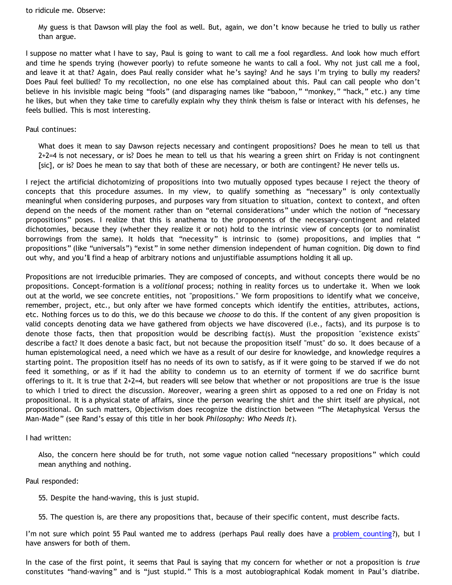to ridicule me. Observe:

My guess is that Dawson will play the fool as well. But, again, we don't know because he tried to bully us rather than argue.

I suppose no matter what I have to say, Paul is going to want to call me a fool regardless. And look how much effort and time he spends trying (however poorly) to refute someone he wants to call a fool. Why not just call me a fool, and leave it at that? Again, does Paul really consider what he's saying? And he says I'm trying to bully my readers? Does Paul feel bullied? To my recollection, no one else has complained about this. Paul can call people who don't believe in his invisible magic being "fools" (and disparaging names like "baboon," "monkey," "hack," etc.) any time he likes, but when they take time to carefully explain why they think theism is false or interact with his defenses, he feels bullied. This is most interesting.

### Paul continues:

What does it mean to say Dawson rejects necessary and contingent propositions? Does he mean to tell us that 2+2=4 is not necessary, or is? Does he mean to tell us that his wearing a green shirt on Friday is not contingnent [sic], or is? Does he mean to say that both of these are necessary, or both are contingent? He never tells us.

I reject the artificial dichotomizing of propositions into two mutually opposed types because I reject the theory of concepts that this procedure assumes. In my view, to qualify something as "necessary" is only contextually meaningful when considering purposes, and purposes vary from situation to situation, context to context, and often depend on the needs of the moment rather than on "eternal considerations" under which the notion of "necessary propositions" poses. I realize that this is anathema to the proponents of the necessary-contingent and related dichotomies, because they (whether they realize it or not) hold to the intrinsic view of concepts (or to nominalist borrowings from the same). It holds that "necessity" is intrinsic to (some) propositions, and implies that " propositions" (like "universals") "exist" in some nether dimension independent of human cognition. Dig down to find out why, and you'll find a heap of arbitrary notions and unjustifiable assumptions holding it all up.

Propositions are not irreducible primaries. They are composed of concepts, and without concepts there would be no propositions. Concept-formation is a *volitional* process; nothing in reality forces us to undertake it. When we look out at the world, we see concrete entities, not "propositions." We form propositions to identify what we conceive, remember, project, etc., but only after we have formed concepts which identify the entities, attributes, actions, etc. Nothing forces us to do this, we do this because we *choose* to do this. If the content of any given proposition is valid concepts denoting data we have gathered from objects we have discovered (i.e., facts), and its purpose is to denote those facts, then that proposition would be describing fact(s). Must the proposition "existence exists" describe a fact? It does denote a basic fact, but not because the proposition itself "must" do so. It does because of a human epistemological need, a need which we have as a result of our desire for knowledge, and knowledge requires a starting point. The proposition itself has no needs of its own to satisfy, as if it were going to be starved if we do not feed it something, or as if it had the ability to condemn us to an eternity of torment if we do sacrifice burnt offerings to it. It is true that 2+2=4, but readers will see below that whether or not propositions are true is the issue to which I tried to direct the discussion. Moreover, wearing a green shirt as opposed to a red one on Friday is not propositional. It is a physical state of affairs, since the person wearing the shirt and the shirt itself are physical, not propositional. On such matters, Objectivism does recognize the distinction between "The Metaphysical Versus the Man-Made" (see Rand's essay of this title in her book *Philosophy: Who Needs It*).

I had written:

Also, the concern here should be for truth, not some vague notion called "necessary propositions" which could mean anything and nothing.

Paul responded:

55. Despite the hand-waving, this is just stupid.

55. The question is, are there any propositions that, because of their specific content, must describe facts.

I'm not sure which point 55 Paul wanted me to address (perhaps Paul really does have a [problem counting?](http://bahnsenburner.blogspot.com/2005/06/can-reformed-christians-count.html)), but I have answers for both of them.

In the case of the first point, it seems that Paul is saying that my concern for whether or not a proposition is *true* constitutes "hand-waving" and is "just stupid." This is a most autobiographical Kodak moment in Paul's diatribe.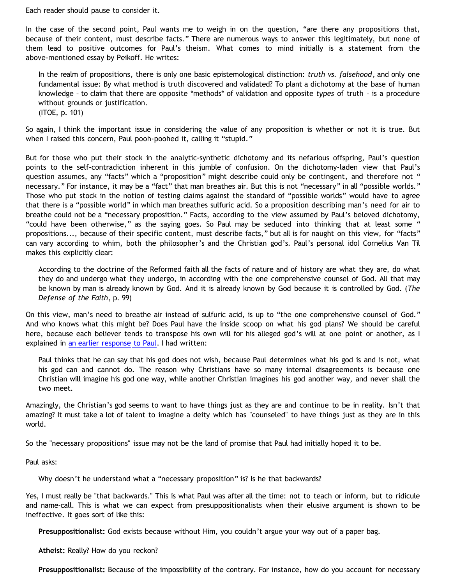Each reader should pause to consider it.

In the case of the second point, Paul wants me to weigh in on the question, "are there any propositions that, because of their content, must describe facts." There are numerous ways to answer this legitimately, but none of them lead to positive outcomes for Paul's theism. What comes to mind initially is a statement from the above-mentioned essay by Peikoff. He writes:

In the realm of propositions, there is only one basic epistemological distinction: *truth vs. falsehood*, and only one fundamental issue: By what method is truth discovered and validated? To plant a dichotomy at the base of human knowledge – to claim that there are opposite \*methods\* of validation and opposite *types* of truth – is a procedure without grounds or justification. (ITOE, p. 101)

So again, I think the important issue in considering the value of any proposition is whether or not it is true. But when I raised this concern, Paul pooh-poohed it, calling it "stupid."

But for those who put their stock in the analytic-synthetic dichotomy and its nefarious offspring, Paul's question points to the self-contradiction inherent in this jumble of confusion. On the dichotomy-laden view that Paul's question assumes, any "facts" which a "proposition" might describe could only be contingent, and therefore not " necessary." For instance, it may be a "fact" that man breathes air. But this is not "necessary" in all "possible worlds." Those who put stock in the notion of testing claims against the standard of "possible worlds" would have to agree that there is a "possible world" in which man breathes sulfuric acid. So a proposition describing man's need for air to breathe could not be a "necessary proposition." Facts, according to the view assumed by Paul's beloved dichotomy, "could have been otherwise," as the saying goes. So Paul may be seduced into thinking that at least some " propositions..., because of their specific content, must describe facts," but all is for naught on this view, for "facts" can vary according to whim, both the philosopher's and the Christian god's. Paul's personal idol Cornelius Van Til makes this explicitly clear:

According to the doctrine of the Reformed faith all the facts of nature and of history are what they are, do what they do and undergo what they undergo, in according with the one comprehensive counsel of God. All that may be known by man is already known by God. And it is already known by God because it is controlled by God. (*The Defense of the Faith*, p. 99)

On this view, man's need to breathe air instead of sulfuric acid, is up to "the one comprehensive counsel of God." And who knows what this might be? Does Paul have the inside scoop on what his god plans? We should be careful here, because each believer tends to transpose his own will for his alleged god's will at one point or another, as I explained in [an earlier response to Paul](http://bahnsenburner.blogspot.com/2006/10/those-delicate-christian-sensibilities.html). I had written:

Paul thinks that he can say that his god does not wish, because Paul determines what his god is and is not, what his god can and cannot do. The reason why Christians have so many internal disagreements is because one Christian will imagine his god one way, while another Christian imagines his god another way, and never shall the two meet.

Amazingly, the Christian's god seems to want to have things just as they are and continue to be in reality. Isn't that amazing? It must take a lot of talent to imagine a deity which has "counseled" to have things just as they are in this world.

So the "necessary propositions" issue may not be the land of promise that Paul had initially hoped it to be.

Paul asks:

Why doesn't he understand what a "necessary proposition" is? Is he that backwards?

Yes, I must really be "that backwards." This is what Paul was after all the time: not to teach or inform, but to ridicule and name-call. This is what we can expect from presuppositionalists when their elusive argument is shown to be ineffective. It goes sort of like this:

**Presuppositionalist:** God exists because without Him, you couldn't argue your way out of a paper bag.

**Atheist:** Really? How do you reckon?

**Presuppositionalist:** Because of the impossibility of the contrary. For instance, how do you account for necessary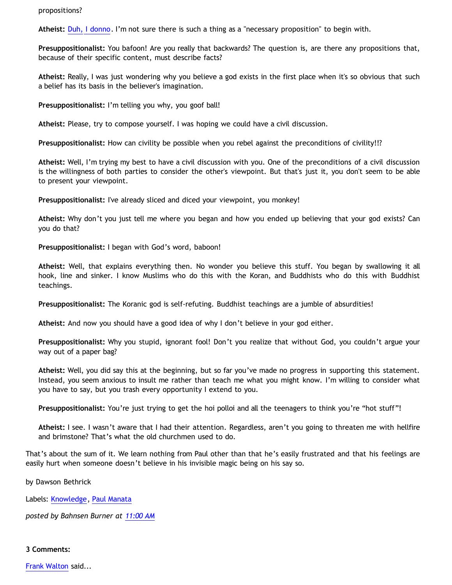### propositions?

**Atheist:** [Duh, I donno](http://www.geocities.com/katholon/duh15.wav). I'm not sure there is such a thing as a "necessary proposition" to begin with.

**Presuppositionalist:** You bafoon! Are you really that backwards? The question is, are there any propositions that, because of their specific content, must describe facts?

**Atheist:** Really, I was just wondering why you believe a god exists in the first place when it's so obvious that such a belief has its basis in the believer's imagination.

**Presuppositionalist:** I'm telling you why, you goof ball!

**Atheist:** Please, try to compose yourself. I was hoping we could have a civil discussion.

**Presuppositionalist:** How can civility be possible when you rebel against the preconditions of civility!!?

**Atheist:** Well, I'm trying my best to have a civil discussion with you. One of the preconditions of a civil discussion is the willingness of both parties to consider the other's viewpoint. But that's just it, you don't seem to be able to present your viewpoint.

**Presuppositionalist:** I've already sliced and diced your viewpoint, you monkey!

**Atheist:** Why don't you just tell me where you began and how you ended up believing that your god exists? Can you do that?

**Presuppositionalist:** I began with God's word, baboon!

**Atheist:** Well, that explains everything then. No wonder you believe this stuff. You began by swallowing it all hook, line and sinker. I know Muslims who do this with the Koran, and Buddhists who do this with Buddhist teachings.

**Presuppositionalist:** The Koranic god is self-refuting. Buddhist teachings are a jumble of absurdities!

**Atheist:** And now you should have a good idea of why I don't believe in your god either.

**Presuppositionalist:** Why you stupid, ignorant fool! Don't you realize that without God, you couldn't argue your way out of a paper bag?

**Atheist:** Well, you did say this at the beginning, but so far you've made no progress in supporting this statement. Instead, you seem anxious to insult me rather than teach me what you might know. I'm willing to consider what you have to say, but you trash every opportunity I extend to you.

**Presuppositionalist:** You're just trying to get the hoi polloi and all the teenagers to think you're "hot stuff"!

**Atheist:** I see. I wasn't aware that I had their attention. Regardless, aren't you going to threaten me with hellfire and brimstone? That's what the old churchmen used to do.

That's about the sum of it. We learn nothing from Paul other than that he's easily frustrated and that his feelings are easily hurt when someone doesn't believe in his invisible magic being on his say so.

by Dawson Bethrick

Labels: [Knowledge](http://bahnsenburner.blogspot.com/search/label/Knowledge), [Paul Manata](http://bahnsenburner.blogspot.com/search/label/Paul%20Manata)

*posted by Bahnsen Burner at [11:00 AM](http://bahnsenburner.blogspot.com/2006/12/pauls-necessary-propositions.html)*

### **3 Comments:**

[Frank Walton](http://www.blogger.com/profile/12126023605395414714) said...